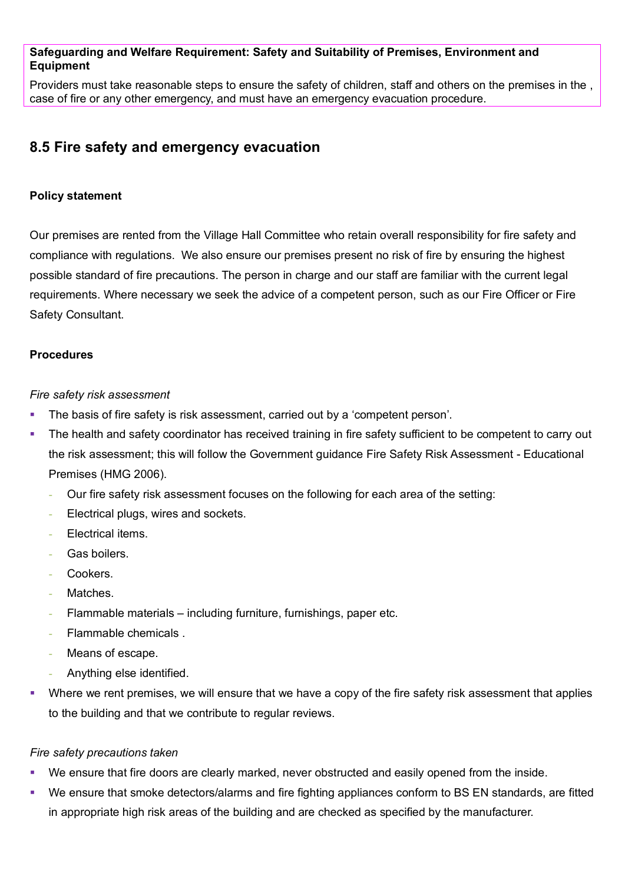## **Safeguarding and Welfare Requirement: Safety and Suitability of Premises, Environment and Equipment**

Providers must take reasonable steps to ensure the safety of children, staff and others on the premises in the , case of fire or any other emergency, and must have an emergency evacuation procedure.

# **8.5 Fire safety and emergency evacuation**

# **Policy statement**

Our premises are rented from the Village Hall Committee who retain overall responsibility for fire safety and compliance with regulations. We also ensure our premises present no risk of fire by ensuring the highest possible standard of fire precautions. The person in charge and our staff are familiar with the current legal requirements. Where necessary we seek the advice of a competent person, such as our Fire Officer or Fire Safety Consultant.

## **Procedures**

## *Fire safety risk assessment*

- **The basis of fire safety is risk assessment, carried out by a 'competent person'.**
- The health and safety coordinator has received training in fire safety sufficient to be competent to carry out the risk assessment; this will follow the Government guidance Fire Safety Risk Assessment - Educational Premises (HMG 2006).
	- Our fire safety risk assessment focuses on the following for each area of the setting:
	- Electrical plugs, wires and sockets.
	- Electrical items.
	- Gas boilers.
	- Cookers.
	- Matches.
	- Flammable materials including furniture, furnishings, paper etc.
	- Flammable chemicals .
	- Means of escape.
	- Anything else identified.
- Where we rent premises, we will ensure that we have a copy of the fire safety risk assessment that applies to the building and that we contribute to regular reviews.

## *Fire safety precautions taken*

- We ensure that fire doors are clearly marked, never obstructed and easily opened from the inside.
- We ensure that smoke detectors/alarms and fire fighting appliances conform to BS EN standards, are fitted in appropriate high risk areas of the building and are checked as specified by the manufacturer.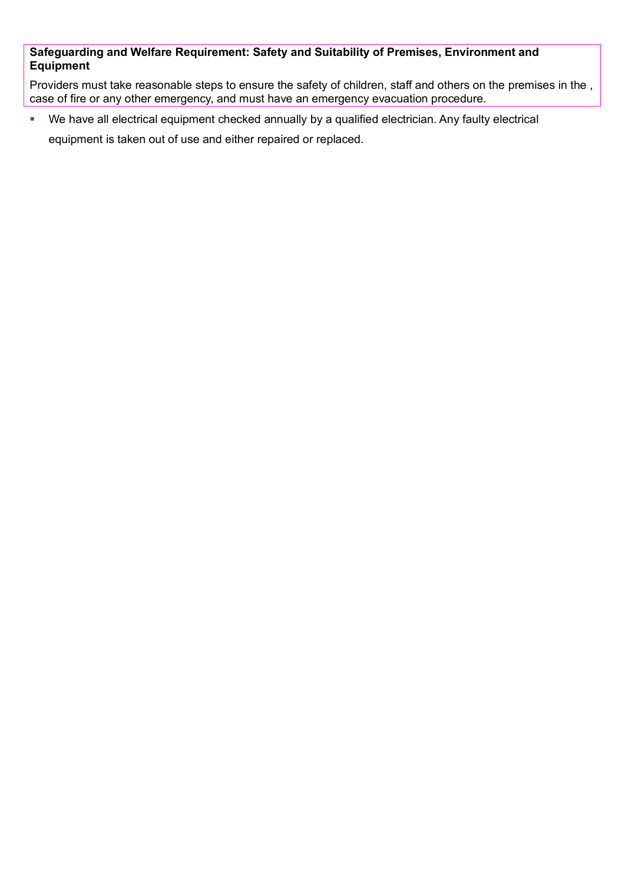# **Safeguarding and Welfare Requirement: Safety and Suitability of Premises, Environment and Equipment**

Providers must take reasonable steps to ensure the safety of children, staff and others on the premises in the , case of fire or any other emergency, and must have an emergency evacuation procedure.

We have all electrical equipment checked annually by a qualified electrician. Any faulty electrical

equipment is taken out of use and either repaired or replaced.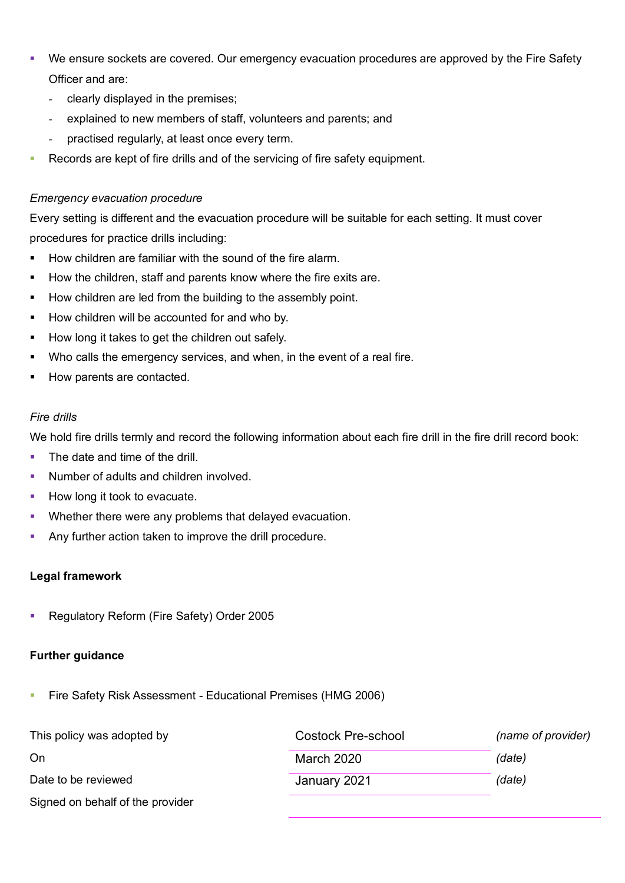- We ensure sockets are covered. Our emergency evacuation procedures are approved by the Fire Safety Officer and are:
	- clearly displayed in the premises;
	- explained to new members of staff, volunteers and parents; and
	- practised regularly, at least once every term.
- Records are kept of fire drills and of the servicing of fire safety equipment.

# *Emergency evacuation procedure*

Every setting is different and the evacuation procedure will be suitable for each setting. It must cover procedures for practice drills including:

- How children are familiar with the sound of the fire alarm.
- How the children, staff and parents know where the fire exits are.
- How children are led from the building to the assembly point.
- How children will be accounted for and who by.
- How long it takes to get the children out safely.
- Who calls the emergency services, and when, in the event of a real fire.
- How parents are contacted.

## *Fire drills*

We hold fire drills termly and record the following information about each fire drill in the fire drill record book:

- The date and time of the drill
- Number of adults and children involved.
- How long it took to evacuate.
- **•** Whether there were any problems that delayed evacuation.
- Any further action taken to improve the drill procedure.

## **Legal framework**

Regulatory Reform (Fire Safety) Order 2005

## **Further guidance**

**Fire Safety Risk Assessment - Educational Premises (HMG 2006)** 

| This policy was adopted by       | <b>Costock Pre-school</b> | (name of provider) |
|----------------------------------|---------------------------|--------------------|
| On                               | <b>March 2020</b>         | (date)             |
| Date to be reviewed              | January 2021              | (date)             |
| Signed on behalf of the provider |                           |                    |